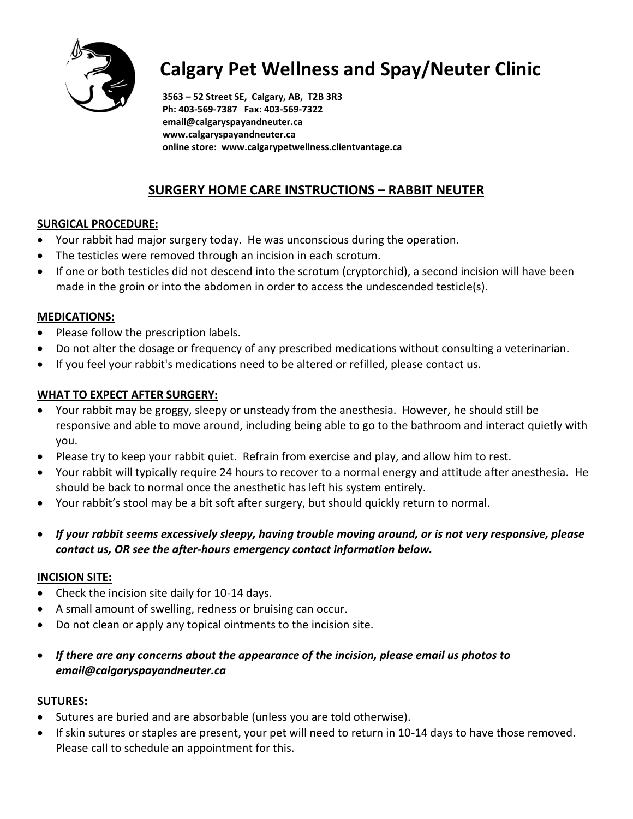

# **Calgary Pet Wellness and Spay/Neuter Clinic**

**3563 – 52 Street SE, Calgary, AB, T2B 3R3 Ph: 403-569-7387 Fax: 403-569-7322 email@calgaryspayandneuter.ca www.calgaryspayandneuter.ca online store: www.calgarypetwellness.clientvantage.ca**

## **SURGERY HOME CARE INSTRUCTIONS – RABBIT NEUTER**

## **SURGICAL PROCEDURE:**

- Your rabbit had major surgery today. He was unconscious during the operation.
- The testicles were removed through an incision in each scrotum.
- If one or both testicles did not descend into the scrotum (cryptorchid), a second incision will have been made in the groin or into the abdomen in order to access the undescended testicle(s).

## **MEDICATIONS:**

- Please follow the prescription labels.
- Do not alter the dosage or frequency of any prescribed medications without consulting a veterinarian.
- If you feel your rabbit's medications need to be altered or refilled, please contact us.

## **WHAT TO EXPECT AFTER SURGERY:**

- Your rabbit may be groggy, sleepy or unsteady from the anesthesia. However, he should still be responsive and able to move around, including being able to go to the bathroom and interact quietly with you.
- Please try to keep your rabbit quiet. Refrain from exercise and play, and allow him to rest.
- Your rabbit will typically require 24 hours to recover to a normal energy and attitude after anesthesia. He should be back to normal once the anesthetic has left his system entirely.
- Your rabbit's stool may be a bit soft after surgery, but should quickly return to normal.
- *If your rabbit seems excessively sleepy, having trouble moving around, or is not very responsive, please contact us, OR see the after-hours emergency contact information below.*

## **INCISION SITE:**

- Check the incision site daily for 10-14 days.
- A small amount of swelling, redness or bruising can occur.
- Do not clean or apply any topical ointments to the incision site.
- *If there are any concerns about the appearance of the incision, please email us photos to email@calgaryspayandneuter.ca*

## **SUTURES:**

- Sutures are buried and are absorbable (unless you are told otherwise).
- If skin sutures or staples are present, your pet will need to return in 10-14 days to have those removed. Please call to schedule an appointment for this.